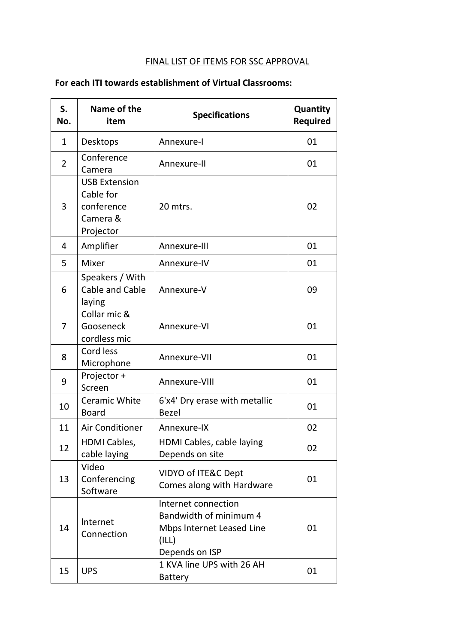## FINAL LIST OF ITEMS FOR SSC APPROVAL

| S.<br>No. | Name of the<br>item                                                      | <b>Specifications</b>                                                                                 | Quantity<br><b>Required</b> |
|-----------|--------------------------------------------------------------------------|-------------------------------------------------------------------------------------------------------|-----------------------------|
| 1         | Desktops                                                                 | Annexure-I                                                                                            | 01                          |
| 2         | Conference<br>Camera                                                     | Annexure-II                                                                                           | 01                          |
| 3         | <b>USB Extension</b><br>Cable for<br>conference<br>Camera &<br>Projector | 20 mtrs.                                                                                              | 02                          |
| 4         | Amplifier                                                                | Annexure-III                                                                                          | 01                          |
| 5         | Mixer                                                                    | Annexure-IV                                                                                           | 01                          |
| 6         | Speakers / With<br>Cable and Cable<br>laying                             | Annexure-V                                                                                            | 09                          |
| 7         | Collar mic &<br>Gooseneck<br>cordless mic                                | Annexure-VI                                                                                           | 01                          |
| 8         | Cord less<br>Microphone                                                  | Annexure-VII                                                                                          | 01                          |
| 9         | Projector +<br>Screen                                                    | Annexure-VIII                                                                                         | 01                          |
| 10        | <b>Ceramic White</b><br><b>Board</b>                                     | 6'x4' Dry erase with metallic<br><b>Bezel</b>                                                         | 01                          |
| 11        | Air Conditioner                                                          | Annexure-IX                                                                                           | 02                          |
| 12        | <b>HDMI Cables,</b><br>cable laying                                      | HDMI Cables, cable laying<br>Depends on site                                                          | 02                          |
| 13        | Video<br>Conferencing<br>Software                                        | VIDYO of ITE&C Dept<br>Comes along with Hardware                                                      | 01                          |
| 14        | Internet<br>Connection                                                   | Internet connection<br>Bandwidth of minimum 4<br>Mbps Internet Leased Line<br>(ILL)<br>Depends on ISP | 01                          |
| 15        | <b>UPS</b>                                                               | 1 KVA line UPS with 26 AH<br><b>Battery</b>                                                           | 01                          |

## **For each ITI towards establishment of Virtual Classrooms:**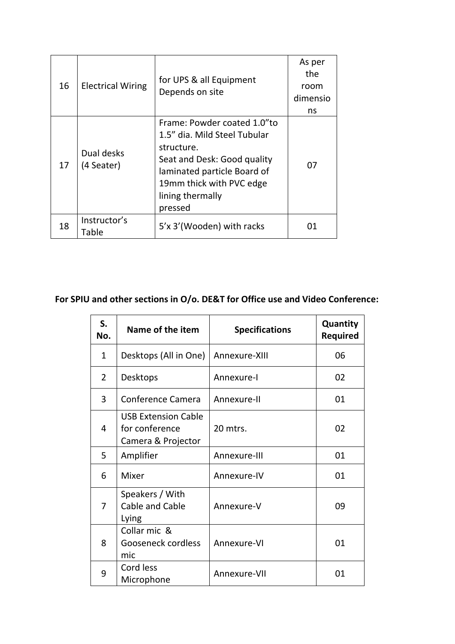| 16 | <b>Electrical Wiring</b> | for UPS & all Equipment<br>Depends on site                                                                                                                                                         | As per<br>the<br>room<br>dimensio<br>ns |
|----|--------------------------|----------------------------------------------------------------------------------------------------------------------------------------------------------------------------------------------------|-----------------------------------------|
| 17 | Dual desks<br>(4 Seater) | Frame: Powder coated 1.0"to<br>1.5" dia. Mild Steel Tubular<br>structure.<br>Seat and Desk: Good quality<br>laminated particle Board of<br>19mm thick with PVC edge<br>lining thermally<br>pressed | 07                                      |
| 18 | Instructor's<br>Table    | 5'x 3'(Wooden) with racks                                                                                                                                                                          | 01                                      |

## **For SPIU and other sections in O/o. DE&T for Office use and Video Conference:**

| S.<br>No.      | Name of the item                                                   | <b>Specifications</b> | Quantity<br><b>Required</b> |
|----------------|--------------------------------------------------------------------|-----------------------|-----------------------------|
| $\mathbf{1}$   | Desktops (All in One)                                              | Annexure-XIII         | 06                          |
| 2              | <b>Desktops</b>                                                    | Annexure-I            | 02                          |
| 3              | Conference Camera                                                  | Annexure-II           | 01                          |
| 4              | <b>USB Extension Cable</b><br>for conference<br>Camera & Projector | 20 mtrs.              | 02                          |
| 5              | Amplifier                                                          | Annexure-III          | 01                          |
| 6              | <b>Mixer</b>                                                       | Annexure-IV           | 01                          |
| $\overline{7}$ | Speakers / With<br><b>Cable and Cable</b><br>Lying                 | Annexure-V            | 09                          |
| 8              | Collar mic &<br>Gooseneck cordless<br>mic                          | Annexure-VI           | 01                          |
| 9              | Cord less<br>Microphone                                            | Annexure-VII          | 01                          |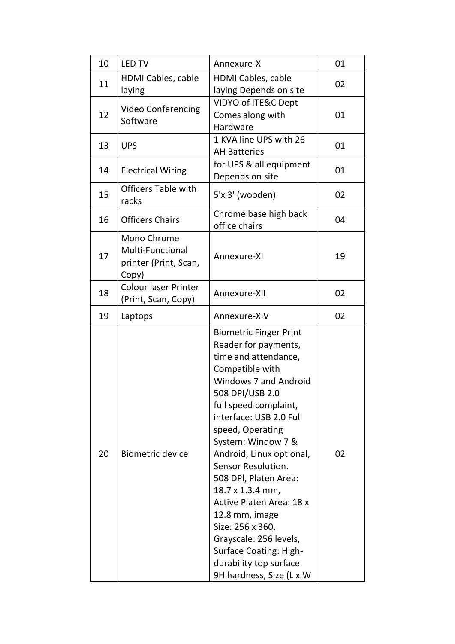| 10 | <b>LED TV</b>                                                     | Annexure-X                                                                                                                                                                                                                                                                                                                                                                                                                                                                                                                                 | 01 |
|----|-------------------------------------------------------------------|--------------------------------------------------------------------------------------------------------------------------------------------------------------------------------------------------------------------------------------------------------------------------------------------------------------------------------------------------------------------------------------------------------------------------------------------------------------------------------------------------------------------------------------------|----|
| 11 | <b>HDMI Cables, cable</b><br>laying                               | <b>HDMI Cables, cable</b><br>laying Depends on site                                                                                                                                                                                                                                                                                                                                                                                                                                                                                        | 02 |
| 12 | <b>Video Conferencing</b><br>Software                             | VIDYO of ITE&C Dept<br>Comes along with<br>Hardware                                                                                                                                                                                                                                                                                                                                                                                                                                                                                        | 01 |
| 13 | <b>UPS</b>                                                        | 1 KVA line UPS with 26<br><b>AH Batteries</b>                                                                                                                                                                                                                                                                                                                                                                                                                                                                                              | 01 |
| 14 | <b>Electrical Wiring</b>                                          | for UPS & all equipment<br>Depends on site                                                                                                                                                                                                                                                                                                                                                                                                                                                                                                 | 01 |
| 15 | <b>Officers Table with</b><br>racks                               | 5'x 3' (wooden)                                                                                                                                                                                                                                                                                                                                                                                                                                                                                                                            | 02 |
| 16 | <b>Officers Chairs</b>                                            | Chrome base high back<br>office chairs                                                                                                                                                                                                                                                                                                                                                                                                                                                                                                     | 04 |
| 17 | Mono Chrome<br>Multi-Functional<br>printer (Print, Scan,<br>Copy) | Annexure-XI                                                                                                                                                                                                                                                                                                                                                                                                                                                                                                                                | 19 |
| 18 | <b>Colour laser Printer</b><br>(Print, Scan, Copy)                | Annexure-XII                                                                                                                                                                                                                                                                                                                                                                                                                                                                                                                               | 02 |
| 19 | Laptops                                                           | Annexure-XIV                                                                                                                                                                                                                                                                                                                                                                                                                                                                                                                               | 02 |
| 20 | <b>Biometric device</b>                                           | <b>Biometric Finger Print</b><br>Reader for payments,<br>time and attendance,<br>Compatible with<br><b>Windows 7 and Android</b><br>508 DPI/USB 2.0<br>full speed complaint,<br>interface: USB 2.0 Full<br>speed, Operating<br>System: Window 7 &<br>Android, Linux optional,<br>Sensor Resolution.<br>508 DPI, Platen Area:<br>18.7 x 1.3.4 mm,<br><b>Active Platen Area: 18 x</b><br>12.8 mm, image<br>Size: 256 x 360,<br>Grayscale: 256 levels,<br><b>Surface Coating: High-</b><br>durability top surface<br>9H hardness, Size (L x W | 02 |